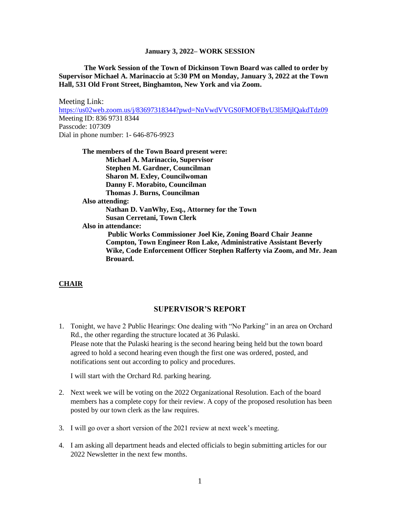**The Work Session of the Town of Dickinson Town Board was called to order by Supervisor Michael A. Marinaccio at 5:30 PM on Monday, January 3, 2022 at the Town Hall, 531 Old Front Street, Binghamton, New York and via Zoom.**

Meeting Link: <https://us02web.zoom.us/j/83697318344?pwd=NnVwdVVGS0FMOFByU3l5MjlQakdTdz09> Meeting ID: 836 9731 8344 Passcode: 107309 Dial in phone number: 1- 646-876-9923

**The members of the Town Board present were: Michael A. Marinaccio, Supervisor Stephen M. Gardner, Councilman Sharon M. Exley, Councilwoman Danny F. Morabito, Councilman Thomas J. Burns, Councilman Also attending: Nathan D. VanWhy, Esq., Attorney for the Town Susan Cerretani, Town Clerk Also in attendance: Public Works Commissioner Joel Kie, Zoning Board Chair Jeanne Compton, Town Engineer Ron Lake, Administrative Assistant Beverly Wike, Code Enforcement Officer Stephen Rafferty via Zoom, and Mr. Jean Brouard.**

## **CHAIR**

## **SUPERVISOR'S REPORT**

1. Tonight, we have 2 Public Hearings: One dealing with "No Parking" in an area on Orchard Rd., the other regarding the structure located at 36 Pulaski. Please note that the Pulaski hearing is the second hearing being held but the town board agreed to hold a second hearing even though the first one was ordered, posted, and notifications sent out according to policy and procedures.

I will start with the Orchard Rd. parking hearing.

- 2. Next week we will be voting on the 2022 Organizational Resolution. Each of the board members has a complete copy for their review. A copy of the proposed resolution has been posted by our town clerk as the law requires.
- 3. I will go over a short version of the 2021 review at next week's meeting.
- 4. I am asking all department heads and elected officials to begin submitting articles for our 2022 Newsletter in the next few months.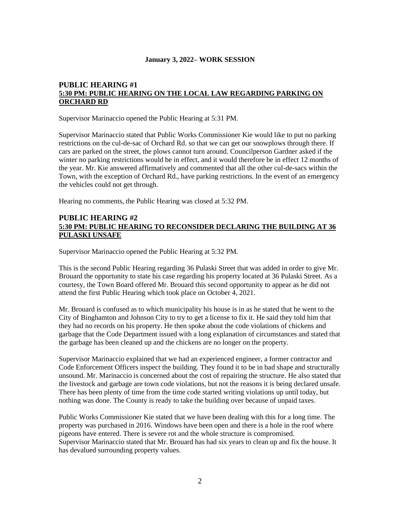# **PUBLIC HEARING #1 5:30 PM: PUBLIC HEARING ON THE LOCAL LAW REGARDING PARKING ON ORCHARD RD**

Supervisor Marinaccio opened the Public Hearing at 5:31 PM.

Supervisor Marinaccio stated that Public Works Commissioner Kie would like to put no parking restrictions on the cul-de-sac of Orchard Rd. so that we can get our snowplows through there. If cars are parked on the street, the plows cannot turn around. Councilperson Gardner asked if the winter no parking restrictions would be in effect, and it would therefore be in effect 12 months of the year. Mr. Kie answered affirmatively and commented that all the other cul-de-sacs within the Town, with the exception of Orchard Rd., have parking restrictions. In the event of an emergency the vehicles could not get through.

Hearing no comments, the Public Hearing was closed at 5:32 PM.

## **PUBLIC HEARING #2 5:30 PM: PUBLIC HEARING TO RECONSIDER DECLARING THE BUILDING AT 36 PULASKI UNSAFE**

Supervisor Marinaccio opened the Public Hearing at 5:32 PM.

This is the second Public Hearing regarding 36 Pulaski Street that was added in order to give Mr. Brouard the opportunity to state his case regarding his property located at 36 Pulaski Street. As a courtesy, the Town Board offered Mr. Brouard this second opportunity to appear as he did not attend the first Public Hearing which took place on October 4, 2021.

Mr. Brouard is confused as to which municipality his house is in as he stated that he went to the City of Binghamton and Johnson City to try to get a license to fix it. He said they told him that they had no records on his property. He then spoke about the code violations of chickens and garbage that the Code Department issued with a long explanation of circumstances and stated that the garbage has been cleaned up and the chickens are no longer on the property.

Supervisor Marinaccio explained that we had an experienced engineer, a former contractor and Code Enforcement Officers inspect the building. They found it to be in bad shape and structurally unsound. Mr. Marinaccio is concerned about the cost of repairing the structure. He also stated that the livestock and garbage are town code violations, but not the reasons it is being declared unsafe. There has been plenty of time from the time code started writing violations up until today, but nothing was done. The County is ready to take the building over because of unpaid taxes.

Public Works Commissioner Kie stated that we have been dealing with this for a long time. The property was purchased in 2016. Windows have been open and there is a hole in the roof where pigeons have entered. There is severe rot and the whole structure is compromised. Supervisor Marinaccio stated that Mr. Brouard has had six years to clean up and fix the house. It has devalued surrounding property values.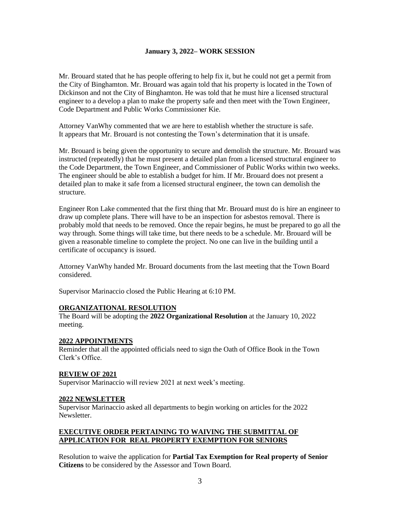Mr. Brouard stated that he has people offering to help fix it, but he could not get a permit from the City of Binghamton. Mr. Brouard was again told that his property is located in the Town of Dickinson and not the City of Binghamton. He was told that he must hire a licensed structural engineer to a develop a plan to make the property safe and then meet with the Town Engineer, Code Department and Public Works Commissioner Kie.

Attorney VanWhy commented that we are here to establish whether the structure is safe. It appears that Mr. Brouard is not contesting the Town's determination that it is unsafe.

Mr. Brouard is being given the opportunity to secure and demolish the structure. Mr. Brouard was instructed (repeatedly) that he must present a detailed plan from a licensed structural engineer to the Code Department, the Town Engineer, and Commissioner of Public Works within two weeks. The engineer should be able to establish a budget for him. If Mr. Brouard does not present a detailed plan to make it safe from a licensed structural engineer, the town can demolish the structure.

Engineer Ron Lake commented that the first thing that Mr. Brouard must do is hire an engineer to draw up complete plans. There will have to be an inspection for asbestos removal. There is probably mold that needs to be removed. Once the repair begins, he must be prepared to go all the way through. Some things will take time, but there needs to be a schedule. Mr. Brouard will be given a reasonable timeline to complete the project. No one can live in the building until a certificate of occupancy is issued.

Attorney VanWhy handed Mr. Brouard documents from the last meeting that the Town Board considered.

Supervisor Marinaccio closed the Public Hearing at 6:10 PM.

## **ORGANIZATIONAL RESOLUTION**

The Board will be adopting the **2022 Organizational Resolution** at the January 10, 2022 meeting.

#### **2022 APPOINTMENTS**

Reminder that all the appointed officials need to sign the Oath of Office Book in the Town Clerk's Office.

#### **REVIEW OF 2021**

Supervisor Marinaccio will review 2021 at next week's meeting.

#### **2022 NEWSLETTER**

Supervisor Marinaccio asked all departments to begin working on articles for the 2022 Newsletter.

## **EXECUTIVE ORDER PERTAINING TO WAIVING THE SUBMITTAL OF APPLICATION FOR REAL PROPERTY EXEMPTION FOR SENIORS**

Resolution to waive the application for **Partial Tax Exemption for Real property of Senior Citizens** to be considered by the Assessor and Town Board.